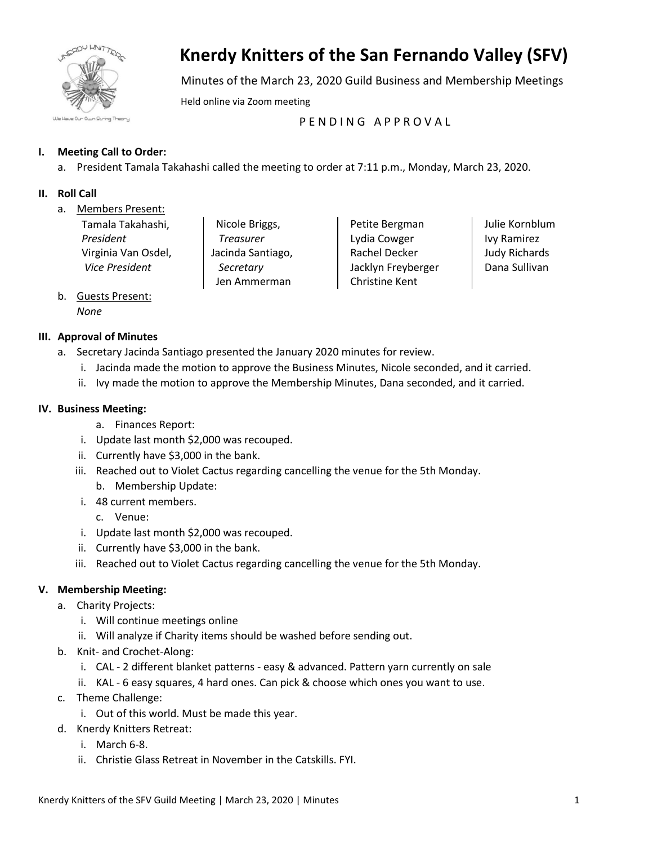

# **Knerdy Knitters of the San Fernando Valley (SFV)**

Minutes of the March 23, 2020 Guild Business and Membership Meetings

Held online via Zoom meeting

PENDING APPROVAL

# **I. Meeting Call to Order:**

a. President Tamala Takahashi called the meeting to order at 7:11 p.m., Monday, March 23, 2020.

## **II. Roll Call**

a. Members Present:

| Tamala Takahashi,   |
|---------------------|
| President           |
| Virginia Van Osdel, |
| Vice President      |
|                     |

Nicole Briggs, *Treasurer* Jacinda Santiago, *Secretary* Jen Ammerman

Petite Bergman Lydia Cowger Rachel Decker Jacklyn Freyberger Christine Kent

Julie Kornblum Ivy Ramirez Judy Richards Dana Sullivan

b. Guests Present: *None*

## **III. Approval of Minutes**

- a. Secretary Jacinda Santiago presented the January 2020 minutes for review.
	- i. Jacinda made the motion to approve the Business Minutes, Nicole seconded, and it carried.
	- ii. Ivy made the motion to approve the Membership Minutes, Dana seconded, and it carried.

## **IV. Business Meeting:**

- a. Finances Report:
- i. Update last month \$2,000 was recouped.
- ii. Currently have \$3,000 in the bank.
- iii. Reached out to Violet Cactus regarding cancelling the venue for the 5th Monday. b. Membership Update:
- i. 48 current members.
	- c. Venue:
- i. Update last month \$2,000 was recouped.
- ii. Currently have \$3,000 in the bank.
- iii. Reached out to Violet Cactus regarding cancelling the venue for the 5th Monday.

# **V. Membership Meeting:**

- a. Charity Projects:
	- i. Will continue meetings online
	- ii. Will analyze if Charity items should be washed before sending out.
- b. Knit- and Crochet-Along:
	- i. CAL 2 different blanket patterns easy & advanced. Pattern yarn currently on sale
	- ii. KAL 6 easy squares, 4 hard ones. Can pick & choose which ones you want to use.
- c. Theme Challenge:
	- i. Out of this world. Must be made this year.
- d. Knerdy Knitters Retreat:
	- i. March 6-8.
	- ii. Christie Glass Retreat in November in the Catskills. FYI.